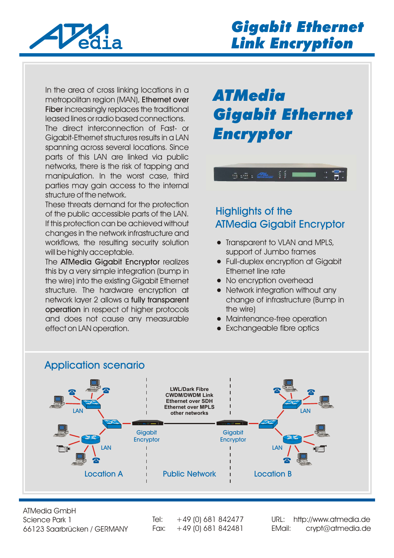

In the area of cross linking locations in a metropolitan region (MAN), Ethernet over Fiber increasingly replaces the traditional leased lines or radio based connections.

The direct interconnection of Fast- or Gigabit-Ethernet structures results in a LAN spanning across several locations. Since parts of this LAN are linked via public networks, there is the risk of tapping and manipulation. In the worst case, third parties may gain access to the internal structure of the network.

These threats demand for the protection of the public accessible parts of the LAN. If this protection can be achieved without changes in the network infrastructure and workflows, the resulting security solution will be highly acceptable.

The ATMedia Gigabit Encryptor realizes this by a very simple integration (bump in the wire) into the existing Gigabit Ethernet structure. The hardware encryption at network layer 2 allows a fully transparent operation in respect of higher protocols and does not cause any measurable effect on LAN operation.

# *ATMedia Gigabit Ethernet Encryptor*

 $\frac{2}{3}$   $\frac{2}{3}$   $\blacksquare$ 

 $\overline{\mathcal{P}}$  :  $\overline{\mathcal{P}}$  :  $\overline{\mathcal{P}}$  :

### Highlights of the ATMedia Gigabit Encryptor

- Transparent to VLAN and MPLS, support of Jumbo frames
- Full-duplex encryption at Gigabit Ethernet line rate
- No encryption overhead
- Network integration without any change of infrastructure (Bump in the wire)
- Maintenance-free operation
- Exchangeable fibre optics



ATMedia GmbH Science Park 1 66123 Saarbrücken / GERMANY

Tel:  $+49$  (0) 681 842477

Fax: +49 (0) 681 842481 [EMail: crypt@atmedia.de](http://www.atmedia.de) URL: http://www.atmedia.de